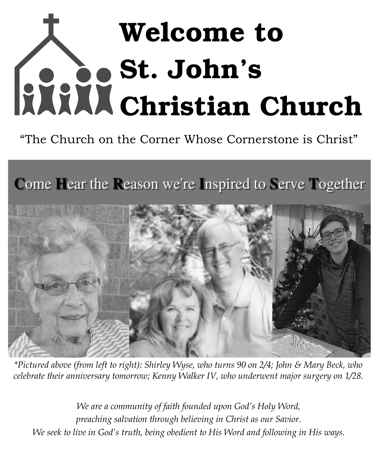# Welcome to St. John's Christian Church

"The Church on the Corner Whose Cornerstone is Christ"

Come Hear the Reason we're Inspired to Serve Together



*\*Pictured above (from left to right): Shirley Wyse, who turns 90 on 2/4; John & Mary Beck, who celebrate their anniversary tomorrow; Kenny Walker IV, who underwent major surgery on 1/28.*

*We are a community of faith founded upon God's Holy Word, preaching salvation through believing in Christ as our Savior. We seek to live in God's truth, being obedient to His Word and following in His ways.*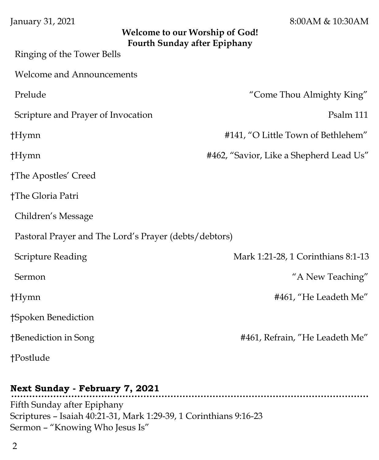| January 31, 2021 |  |  |
|------------------|--|--|
|------------------|--|--|

8:00AM & 10:30AM

| <b>Welcome to our Worship of God!</b><br><b>Fourth Sunday after Epiphany</b> |                                         |  |
|------------------------------------------------------------------------------|-----------------------------------------|--|
| Ringing of the Tower Bells                                                   |                                         |  |
| <b>Welcome and Announcements</b>                                             |                                         |  |
| Prelude                                                                      | "Come Thou Almighty King"               |  |
| Scripture and Prayer of Invocation                                           | Psalm 111                               |  |
| $\dagger$ Hymn                                                               | #141, "O Little Town of Bethlehem"      |  |
| $\dagger$ Hymn                                                               | #462, "Savior, Like a Shepherd Lead Us" |  |
| †The Apostles' Creed                                                         |                                         |  |
| †The Gloria Patri                                                            |                                         |  |
| Children's Message                                                           |                                         |  |
| Pastoral Prayer and The Lord's Prayer (debts/debtors)                        |                                         |  |
| <b>Scripture Reading</b>                                                     | Mark 1:21-28, 1 Corinthians 8:1-13      |  |
| Sermon                                                                       | "A New Teaching"                        |  |
| $\dagger$ Hymn                                                               | #461, "He Leadeth Me"                   |  |
| †Spoken Benediction                                                          |                                         |  |
| †Benediction in Song                                                         | #461, Refrain, "He Leadeth Me"          |  |
| †Postlude                                                                    |                                         |  |

...............

### **Next Sunday - February 7, 2021**

Fifth Sunday after Epiphany Scriptures – Isaiah 40:21-31, Mark 1:29-39, 1 Corinthians 9:16-23 Sermon – "Knowing Who Jesus Is"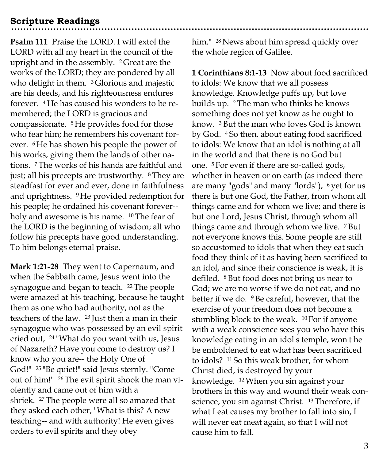#### **Scripture Readings**

**Psalm 111** Praise the LORD. I will extol the LORD with all my heart in the council of the upright and in the assembly. <sup>2</sup> Great are the works of the LORD; they are pondered by all who delight in them. <sup>3</sup> Glorious and majestic are his deeds, and his righteousness endures forever. <sup>4</sup> He has caused his wonders to be remembered; the LORD is gracious and compassionate. <sup>5</sup> He provides food for those who fear him; he remembers his covenant forever. <sup>6</sup> He has shown his people the power of his works, giving them the lands of other nations. <sup>7</sup> The works of his hands are faithful and just; all his precepts are trustworthy. <sup>8</sup> They are steadfast for ever and ever, done in faithfulness and uprightness. <sup>9</sup> He provided redemption for his people; he ordained his covenant forever- holy and awesome is his name. <sup>10</sup> The fear of the LORD is the beginning of wisdom; all who follow his precepts have good understanding. To him belongs eternal praise.

**Mark 1:21-28** They went to Capernaum, and when the Sabbath came, Jesus went into the synagogue and began to teach. <sup>22</sup> The people were amazed at his teaching, because he taught them as one who had authority, not as the teachers of the law. <sup>23</sup> Just then a man in their synagogue who was possessed by an evil spirit cried out, <sup>24</sup> "What do you want with us, Jesus of Nazareth? Have you come to destroy us? I know who you are-- the Holy One of God!" <sup>25</sup> "Be quiet!" said Jesus sternly. "Come out of him!" 26The evil spirit shook the man violently and came out of him with a shriek. <sup>27</sup> The people were all so amazed that they asked each other, "What is this? A new teaching-- and with authority! He even gives orders to evil spirits and they obey

him." <sup>28</sup> News about him spread quickly over the whole region of Galilee.

**1 Corinthians 8:1-13** Now about food sacrificed to idols: We know that we all possess knowledge. Knowledge puffs up, but love builds up. <sup>2</sup> The man who thinks he knows something does not yet know as he ought to know. <sup>3</sup> But the man who loves God is known by God. <sup>4</sup> So then, about eating food sacrificed to idols: We know that an idol is nothing at all in the world and that there is no God but one. <sup>5</sup> For even if there are so-called gods, whether in heaven or on earth (as indeed there are many "gods" and many "lords"), <sup>6</sup> yet for us there is but one God, the Father, from whom all things came and for whom we live; and there is but one Lord, Jesus Christ, through whom all things came and through whom we live. <sup>7</sup>But not everyone knows this. Some people are still so accustomed to idols that when they eat such food they think of it as having been sacrificed to an idol, and since their conscience is weak, it is defiled. <sup>8</sup> But food does not bring us near to God; we are no worse if we do not eat, and no better if we do. <sup>9</sup> Be careful, however, that the exercise of your freedom does not become a stumbling block to the weak. <sup>10</sup> For if anyone with a weak conscience sees you who have this knowledge eating in an idol's temple, won't he be emboldened to eat what has been sacrificed to idols? <sup>11</sup> So this weak brother, for whom Christ died, is destroyed by your knowledge. <sup>12</sup>When you sin against your brothers in this way and wound their weak conscience, you sin against Christ. <sup>13</sup> Therefore, if what I eat causes my brother to fall into sin, I will never eat meat again, so that I will not cause him to fall.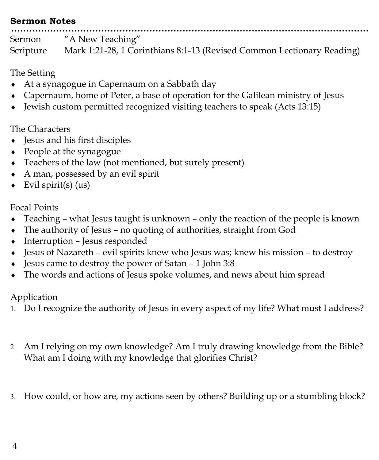#### **Sermon Notes**

Sermon "A New Teaching" Scripture Mark 1:21-28, 1 Corinthians 8:1-13 (Revised Common Lectionary Reading)

The Setting

- At a synagogue in Capernaum on a Sabbath day
- Capernaum, home of Peter, a base of operation for the Galilean ministry of Jesus
- $\bullet$  Jewish custom permitted recognized visiting teachers to speak (Acts 13:15)

The Characters

- Jesus and his first disciples
- People at the synagogue
- Teachers of the law (not mentioned, but surely present)
- A man, possessed by an evil spirit
- $\triangleleft$  Evil spirit(s) (us)

Focal Points

- Teaching what Jesus taught is unknown only the reaction of the people is known
- The authority of Jesus no quoting of authorities, straight from God
- Interruption Jesus responded
- Jesus of Nazareth evil spirits knew who Jesus was; knew his mission to destroy
- Jesus came to destroy the power of Satan 1 John 3:8
- The words and actions of Jesus spoke volumes, and news about him spread

Application

- Do I recognize the authority of Jesus in every aspect of my life? What must I address?
- Am I relying on my own knowledge? Am I truly drawing knowledge from the Bible? What am I doing with my knowledge that glorifies Christ?
- How could, or how are, my actions seen by others? Building up or a stumbling block?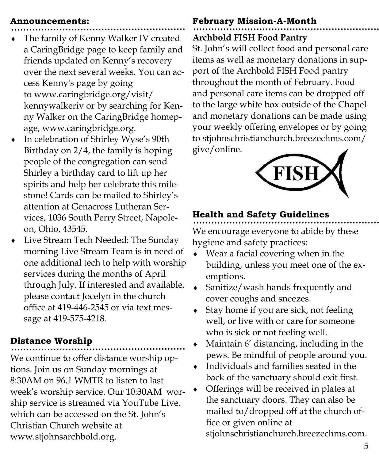#### **Announcements:**

- The family of Kenny Walker IV created a CaringBridge page to keep family and friends updated on Kenny's recovery over the next several weeks. You can access Kenny's page by going to www.caringbridge.org/visit/ kennywalkeriv or by searching for Kenny Walker on the CaringBridge homepage, www.caringbridge.org.
- In celebration of Shirley Wyse's 90th Birthday on 2/4, the family is hoping people of the congregation can send Shirley a birthday card to lift up her spirits and help her celebrate this milestone! Cards can be mailed to Shirley's attention at Genacross Lutheran Services, 1036 South Perry Street, Napoleon, Ohio, 43545.
- Live Stream Tech Needed: The Sunday morning Live Stream Team is in need of one additional tech to help with worship services during the months of April through July. If interested and available, please contact Jocelyn in the church office at 419-446-2545 or via text message at 419-575-4218.

### **Distance Worship**

We continue to offer distance worship options. Join us on Sunday mornings at 8:30AM on 96.1 WMTR to listen to last week's worship service. Our 10:30AM worship service is streamed via YouTube Live, which can be accessed on the St. John's Christian Church website at www.stjohnsarchbold.org.

# **February Mission-A-Month**

## **Archbold FISH Food Pantry**

St. John's will collect food and personal care items as well as monetary donations in support of the Archbold FISH Food pantry throughout the month of February. Food and personal care items can be dropped off to the large white box outside of the Chapel and monetary donations can be made using your weekly offering envelopes or by going to stjohnschristianchurch.breezechms.com/ give/online.



# **Health and Safety Guidelines**

We encourage everyone to abide by these hygiene and safety practices:

- Wear a facial covering when in the building, unless you meet one of the exemptions.
- Sanitize/wash hands frequently and cover coughs and sneezes.
- Stay home if you are sick, not feeling well, or live with or care for someone who is sick or not feeling well.
- Maintain 6' distancing, including in the pews. Be mindful of people around you.
- Individuals and families seated in the back of the sanctuary should exit first.
- Offerings will be received in plates at the sanctuary doors. They can also be mailed to/dropped off at the church office or given online at

stjohnschristianchurch.breezechms.com.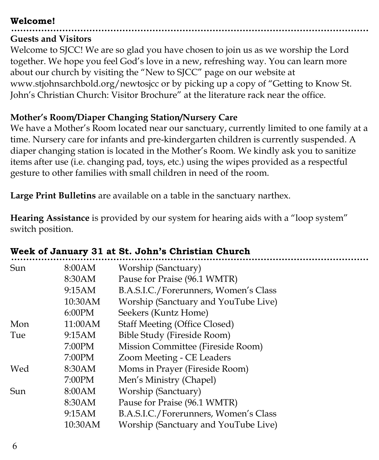### **Welcome!**

#### **Guests and Visitors**

Welcome to SJCC! We are so glad you have chosen to join us as we worship the Lord together. We hope you feel God's love in a new, refreshing way. You can learn more about our church by visiting the "New to SJCC" page on our website at www.stjohnsarchbold.org/newtosjcc or by picking up a copy of "Getting to Know St. John's Christian Church: Visitor Brochure" at the literature rack near the office.

### **Mother's Room/Diaper Changing Station/Nursery Care**

We have a Mother's Room located near our sanctuary, currently limited to one family at a time. Nursery care for infants and pre-kindergarten children is currently suspended. A diaper changing station is located in the Mother's Room. We kindly ask you to sanitize items after use (i.e. changing pad, toys, etc.) using the wipes provided as a respectful gesture to other families with small children in need of the room.

**Large Print Bulletins** are available on a table in the sanctuary narthex.

**Hearing Assistance** is provided by our system for hearing aids with a "loop system" switch position.

| Sun | 8:00AM  | Worship (Sanctuary)                   |
|-----|---------|---------------------------------------|
|     | 8:30AM  | Pause for Praise (96.1 WMTR)          |
|     | 9:15AM  | B.A.S.I.C./Forerunners, Women's Class |
|     | 10:30AM | Worship (Sanctuary and YouTube Live)  |
|     | 6:00PM  | Seekers (Kuntz Home)                  |
| Mon | 11:00AM | <b>Staff Meeting (Office Closed)</b>  |
| Tue | 9:15AM  | Bible Study (Fireside Room)           |
|     | 7:00PM  | Mission Committee (Fireside Room)     |
|     | 7:00PM  | Zoom Meeting - CE Leaders             |
| Wed | 8:30AM  | Moms in Prayer (Fireside Room)        |
|     | 7:00PM  | Men's Ministry (Chapel)               |
| Sun | 8:00AM  | Worship (Sanctuary)                   |
|     | 8:30AM  | Pause for Praise (96.1 WMTR)          |
|     | 9:15AM  | B.A.S.I.C./Forerunners, Women's Class |
|     | 10:30AM | Worship (Sanctuary and YouTube Live)  |
|     |         |                                       |

### **Week of January 31 at St. John's Christian Church**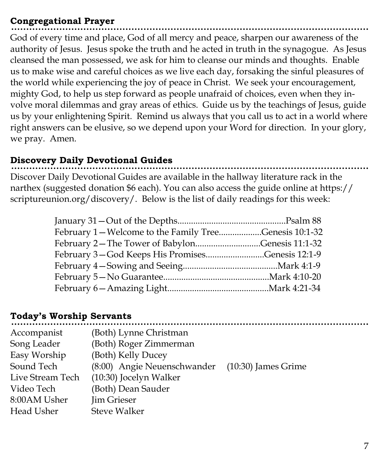## **Congregational Prayer**

God of every time and place, God of all mercy and peace, sharpen our awareness of the authority of Jesus. Jesus spoke the truth and he acted in truth in the synagogue. As Jesus cleansed the man possessed, we ask for him to cleanse our minds and thoughts. Enable us to make wise and careful choices as we live each day, forsaking the sinful pleasures of the world while experiencing the joy of peace in Christ. We seek your encouragement, mighty God, to help us step forward as people unafraid of choices, even when they involve moral dilemmas and gray areas of ethics. Guide us by the teachings of Jesus, guide us by your enlightening Spirit. Remind us always that you call us to act in a world where right answers can be elusive, so we depend upon your Word for direction. In your glory, we pray. Amen.

## **Discovery Daily Devotional Guides**

Discover Daily Devotional Guides are available in the hallway literature rack in the narthex (suggested donation \$6 each). You can also access the guide online at https:// scriptureunion.org/discovery/. Below is the list of daily readings for this week:

| February 1 – Welcome to the Family TreeGenesis 10:1-32 |  |
|--------------------------------------------------------|--|
| February 2-The Tower of BabylonGenesis 11:1-32         |  |
| February 3-God Keeps His PromisesGenesis 12:1-9        |  |
|                                                        |  |
|                                                        |  |
|                                                        |  |

### **Today's Worship Servants**

| Accompanist      | (Both) Lynne Christman      |                       |
|------------------|-----------------------------|-----------------------|
| Song Leader      | (Both) Roger Zimmerman      |                       |
| Easy Worship     | (Both) Kelly Ducey          |                       |
| Sound Tech       | (8:00) Angie Neuenschwander | $(10:30)$ James Grime |
| Live Stream Tech | (10:30) Jocelyn Walker      |                       |
| Video Tech       | (Both) Dean Sauder          |                       |
| 8:00AM Usher     | Jim Grieser                 |                       |
| Head Usher       | <b>Steve Walker</b>         |                       |
|                  |                             |                       |